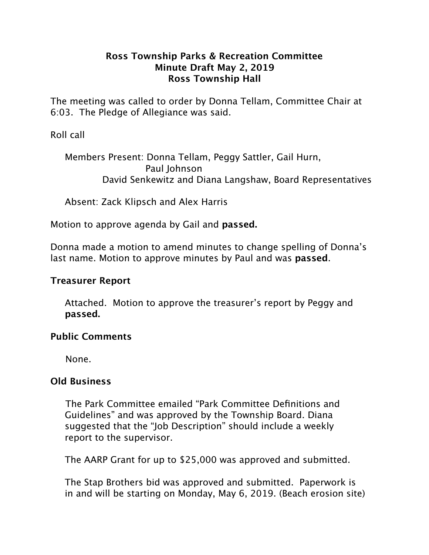### **Ross Township Parks & Recreation Committee Minute Draft May 2, 2019 Ross Township Hall**

The meeting was called to order by Donna Tellam, Committee Chair at 6:03. The Pledge of Allegiance was said.

# Roll call

 Members Present: Donna Tellam, Peggy Sattler, Gail Hurn, Paul Johnson David Senkewitz and Diana Langshaw, Board Representatives

Absent: Zack Klipsch and Alex Harris

Motion to approve agenda by Gail and **passed.**

Donna made a motion to amend minutes to change spelling of Donna's last name. Motion to approve minutes by Paul and was **passed**.

### **Treasurer Report**

 Attached. Motion to approve the treasurer's report by Peggy and **passed.**

#### **Public Comments**

None.

# **Old Business**

The Park Committee emailed "Park Committee Definitions and Guidelines" and was approved by the Township Board. Diana suggested that the "Job Description" should include a weekly report to the supervisor.

The AARP Grant for up to \$25,000 was approved and submitted.

 The Stap Brothers bid was approved and submitted. Paperwork is in and will be starting on Monday, May 6, 2019. (Beach erosion site)